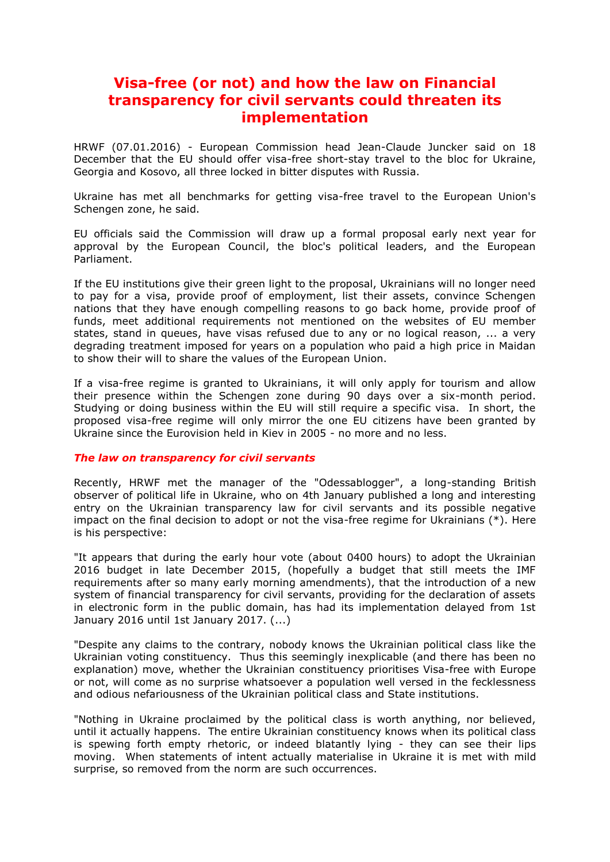## **Visa-free (or not) and how the law on Financial transparency for civil servants could threaten its implementation**

HRWF (07.01.2016) - European Commission head Jean-Claude Juncker said on 18 December that the EU should offer visa-free short-stay travel to the bloc for Ukraine, Georgia and Kosovo, all three locked in bitter disputes with Russia.

Ukraine has met all benchmarks for getting visa-free travel to the European Union's Schengen zone, he said.

EU officials said the Commission will draw up a formal proposal early next year for approval by the European Council, the bloc's political leaders, and the European Parliament.

If the EU institutions give their green light to the proposal, Ukrainians will no longer need to pay for a visa, provide proof of employment, list their assets, convince Schengen nations that they have enough compelling reasons to go back home, provide proof of funds, meet additional requirements not mentioned on the websites of EU member states, stand in queues, have visas refused due to any or no logical reason, ... a very degrading treatment imposed for years on a population who paid a high price in Maidan to show their will to share the values of the European Union.

If a visa-free regime is granted to Ukrainians, it will only apply for tourism and allow their presence within the Schengen zone during 90 days over a six-month period. Studying or doing business within the EU will still require a specific visa. In short, the proposed visa-free regime will only mirror the one EU citizens have been granted by Ukraine since the Eurovision held in Kiev in 2005 - no more and no less.

## *The law on transparency for civil servants*

Recently, HRWF met the manager of the "Odessablogger", a long-standing British observer of political life in Ukraine, who on 4th January published a long and interesting entry on the Ukrainian transparency law for civil servants and its possible negative impact on the final decision to adopt or not the visa-free regime for Ukrainians (\*). Here is his perspective:

"It appears that during the early hour vote (about 0400 hours) to adopt the Ukrainian 2016 budget in late December 2015, (hopefully a budget that still meets the IMF requirements after so many early morning amendments), that the introduction of a new system of financial transparency for civil servants, providing for the declaration of assets in electronic form in the public domain, has had its implementation delayed from 1st January 2016 until 1st January 2017. (...)

"Despite any claims to the contrary, nobody knows the Ukrainian political class like the Ukrainian voting constituency. Thus this seemingly inexplicable (and there has been no explanation) move, whether the Ukrainian constituency prioritises Visa-free with Europe or not, will come as no surprise whatsoever a population well versed in the fecklessness and odious nefariousness of the Ukrainian political class and State institutions.

"Nothing in Ukraine proclaimed by the political class is worth anything, nor believed, until it actually happens. The entire Ukrainian constituency knows when its political class is spewing forth empty rhetoric, or indeed blatantly lying - they can see their lips moving. When statements of intent actually materialise in Ukraine it is met with mild surprise, so removed from the norm are such occurrences.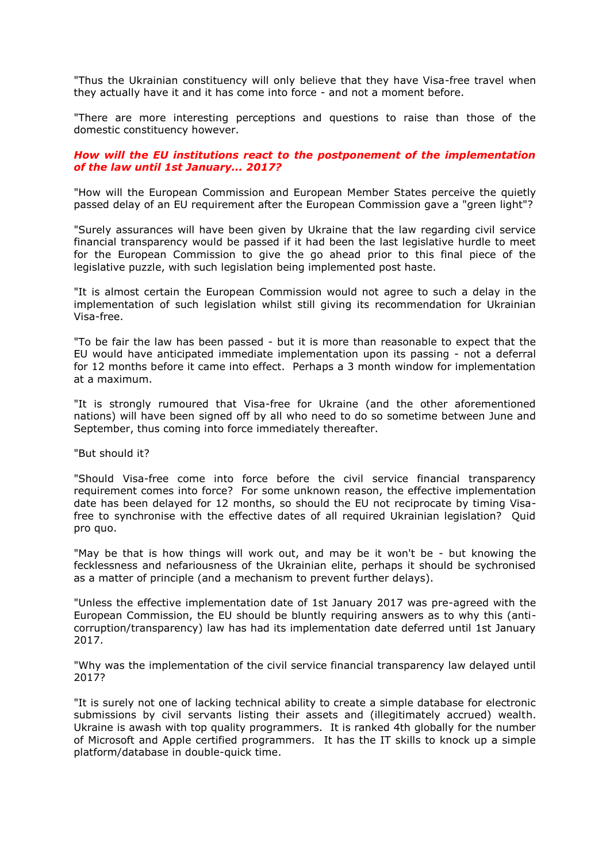"Thus the Ukrainian constituency will only believe that they have Visa-free travel when they actually have it and it has come into force - and not a moment before.

"There are more interesting perceptions and questions to raise than those of the domestic constituency however.

## *How will the EU institutions react to the postponement of the implementation of the law until 1st January... 2017?*

"How will the European Commission and European Member States perceive the quietly passed delay of an EU requirement after the European Commission gave a "green light"?

"Surely assurances will have been given by Ukraine that the law regarding civil service financial transparency would be passed if it had been the last legislative hurdle to meet for the European Commission to give the go ahead prior to this final piece of the legislative puzzle, with such legislation being implemented post haste.

"It is almost certain the European Commission would not agree to such a delay in the implementation of such legislation whilst still giving its recommendation for Ukrainian Visa-free.

"To be fair the law has been passed - but it is more than reasonable to expect that the EU would have anticipated immediate implementation upon its passing - not a deferral for 12 months before it came into effect. Perhaps a 3 month window for implementation at a maximum.

"It is strongly rumoured that Visa-free for Ukraine (and the other aforementioned nations) will have been signed off by all who need to do so sometime between June and September, thus coming into force immediately thereafter.

"But should it?

"Should Visa-free come into force before the civil service financial transparency requirement comes into force? For some unknown reason, the effective implementation date has been delayed for 12 months, so should the EU not reciprocate by timing Visafree to synchronise with the effective dates of all required Ukrainian legislation? Quid pro quo.

"May be that is how things will work out, and may be it won't be - but knowing the fecklessness and nefariousness of the Ukrainian elite, perhaps it should be sychronised as a matter of principle (and a mechanism to prevent further delays).

"Unless the effective implementation date of 1st January 2017 was pre-agreed with the European Commission, the EU should be bluntly requiring answers as to why this (anticorruption/transparency) law has had its implementation date deferred until 1st January 2017.

"Why was the implementation of the civil service financial transparency law delayed until 2017?

"It is surely not one of lacking technical ability to create a simple database for electronic submissions by civil servants listing their assets and (illegitimately accrued) wealth. Ukraine is awash with top quality programmers. It is ranked 4th globally for the number of Microsoft and Apple certified programmers. It has the IT skills to knock up a simple platform/database in double-quick time.